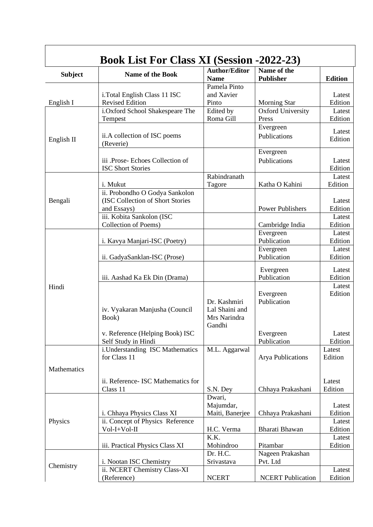| <b>Subject</b> | Name of the Book                          | <b>Author/Editor</b><br><b>Name</b> | Name of the<br>Publisher | <b>Edition</b>    |
|----------------|-------------------------------------------|-------------------------------------|--------------------------|-------------------|
|                |                                           | Pamela Pinto                        |                          |                   |
|                | i.Total English Class 11 ISC              | and Xavier                          |                          | Latest            |
| English I      | <b>Revised Edition</b>                    | Pinto                               | <b>Morning Star</b>      | Edition           |
|                | i.Oxford School Shakespeare The           | Edited by                           | <b>Oxford University</b> | Latest            |
|                | Tempest                                   | Roma Gill                           | Press                    | Edition           |
| English II     |                                           |                                     | Evergreen                | Latest            |
|                | ii.A collection of ISC poems<br>(Reverie) |                                     | Publications             | Edition           |
|                |                                           |                                     | Evergreen                |                   |
|                | iii .Prose- Echoes Collection of          |                                     | Publications             | Latest            |
|                | <b>ISC Short Stories</b>                  |                                     |                          | Edition           |
|                |                                           | Rabindranath                        |                          | Latest            |
|                | i. Mukut                                  | Tagore                              | Katha O Kahini           | Edition           |
|                | ii. Probondho O Godya Sankolon            |                                     |                          |                   |
| Bengali        | (ISC Collection of Short Stories          |                                     |                          | Latest            |
|                | and Essays)                               |                                     | <b>Power Publishers</b>  | Edition           |
|                | iii. Kobita Sankolon (ISC                 |                                     |                          | Latest            |
|                | Collection of Poems)                      |                                     | Cambridge India          | Edition           |
|                |                                           |                                     | Evergreen                | Latest            |
|                | i. Kavya Manjari-ISC (Poetry)             |                                     | Publication              | Edition           |
|                | ii. GadyaSanklan-ISC (Prose)              |                                     | Evergreen<br>Publication | Latest<br>Edition |
|                |                                           |                                     |                          |                   |
|                |                                           |                                     | Evergreen                | Latest            |
|                | iii. Aashad Ka Ek Din (Drama)             |                                     | Publication              | Edition           |
| Hindi          |                                           |                                     |                          | Latest            |
|                |                                           |                                     | Evergreen                | Edition           |
|                | iv. Vyakaran Manjusha (Council            | Dr. Kashmiri<br>Lal Shaini and      | Publication              |                   |
|                | Book)                                     | Mrs Narindra                        |                          |                   |
|                |                                           | Gandhi                              |                          |                   |
|                | v. Reference (Helping Book) ISC           |                                     | Evergreen                | Latest            |
|                | Self Study in Hindi                       |                                     | Publication              | Edition           |
|                | i.Understanding ISC Mathematics           | M.L. Aggarwal                       |                          | Latest            |
|                | for Class 11                              |                                     | <b>Arya Publications</b> | Edition           |
| Mathematics    |                                           |                                     |                          |                   |
|                |                                           |                                     |                          |                   |
|                | ii. Reference- ISC Mathematics for        |                                     |                          | Latest<br>Edition |
| Physics        | Class 11                                  | S.N. Dey<br>Dwari,                  | Chhaya Prakashani        |                   |
|                |                                           | Majumdar,                           |                          | Latest            |
|                | i. Chhaya Physics Class XI                | Maiti, Banerjee                     | Chhaya Prakashani        | Edition           |
|                | ii. Concept of Physics Reference          |                                     |                          | Latest            |
|                | Vol-I+Vol-II                              | H.C. Verma                          | Bharati Bhawan           | Edition           |
|                |                                           | K.K.                                |                          | Latest            |
|                | iii. Practical Physics Class XI           | Mohindroo                           | Pitambar                 | Edition           |
| Chemistry      |                                           | Dr. H.C.                            | Nageen Prakashan         |                   |
|                | i. Nootan ISC Chemistry                   | Srivastava                          | Pvt. Ltd                 |                   |
|                | ii. NCERT Chemistry Class-XI              |                                     |                          | Latest            |
|                | (Reference)                               | <b>NCERT</b>                        | <b>NCERT Publication</b> | Edition           |